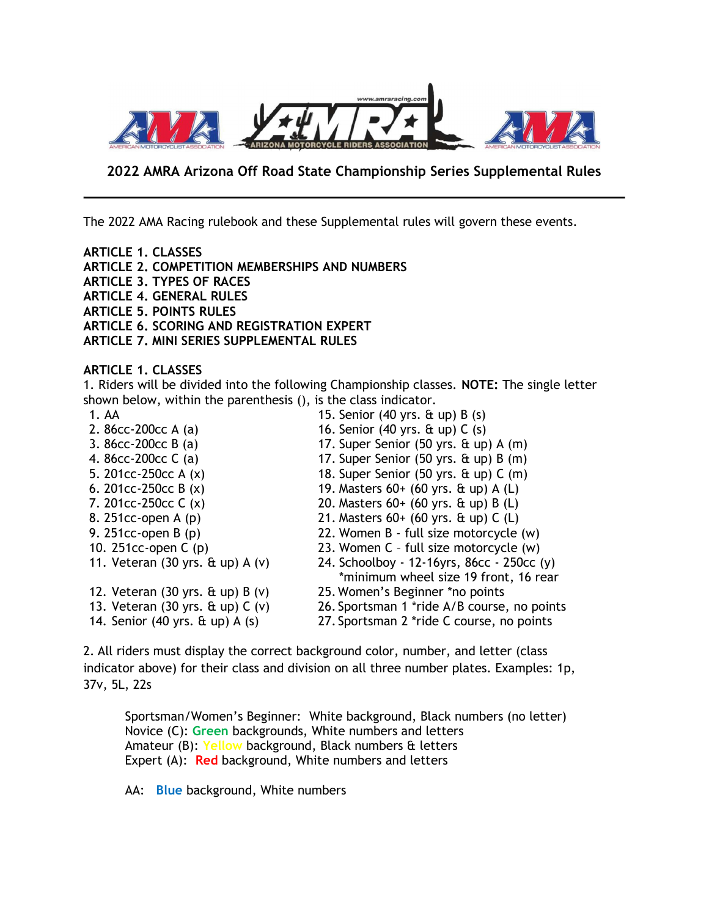

# 2022 AMRA Arizona Off Road State Championship Series Supplemental Rules

The 2022 AMA Racing rulebook and these Supplemental rules will govern these events.

ARTICLE 1. CLASSES ARTICLE 2. COMPETITION MEMBERSHIPS AND NUMBERS ARTICLE 3. TYPES OF RACES ARTICLE 4. GENERAL RULES ARTICLE 5. POINTS RULES ARTICLE 6. SCORING AND REGISTRATION EXPERT ARTICLE 7. MINI SERIES SUPPLEMENTAL RULES

ARTICLE 1. CLASSES

1. Riders will be divided into the following Championship classes. NOTE: The single letter shown below, within the parenthesis (), is the class indicator.

1. AA 15. Senior (40 yrs. & up) B (s) 2. 86cc-200cc A (a) 16. Senior (40 yrs. & up) C (s) 3. 86cc-200cc B (a) 17. Super Senior (50 yrs. & up) A (m) 4. 86cc-200cc C (a) 17. Super Senior (50 yrs. & up) B (m) 5. 201cc-250cc A (x) 18. Super Senior (50 yrs. & up) C (m) 6. 201cc-250cc B (x) 19. Masters 60+ (60 yrs. & up) A (L) 7. 201cc-250cc C (x) 20. Masters 60+ (60 yrs. & up) B (L) 8. 251cc-open A (p) 21. Masters 60+ (60 yrs. & up) C (L) 9. 251cc-open B (p) 22. Women B - full size motorcycle (w) 10. 251cc-open C (p) 23. Women C – full size motorcycle (w) 11. Veteran (30 yrs. & up) A (v) 24. Schoolboy - 12-16yrs, 86cc - 250cc (y) \*minimum wheel size 19 front, 16 rear 12. Veteran (30 yrs. & up) B (v) 25. Women's Beginner \*no points 13. Veteran (30 yrs. & up) C (v) 26. Sportsman 1 \*ride A/B course, no points 14. Senior (40 yrs. & up) A (s) 27. Sportsman 2 \*ride C course, no points

2. All riders must display the correct background color, number, and letter (class indicator above) for their class and division on all three number plates. Examples: 1p, 37v, 5L, 22s

Sportsman/Women's Beginner: White background, Black numbers (no letter) Novice (C): Green backgrounds, White numbers and letters Amateur (B): Yellow background, Black numbers & letters Expert (A): Red background, White numbers and letters

AA: Blue background, White numbers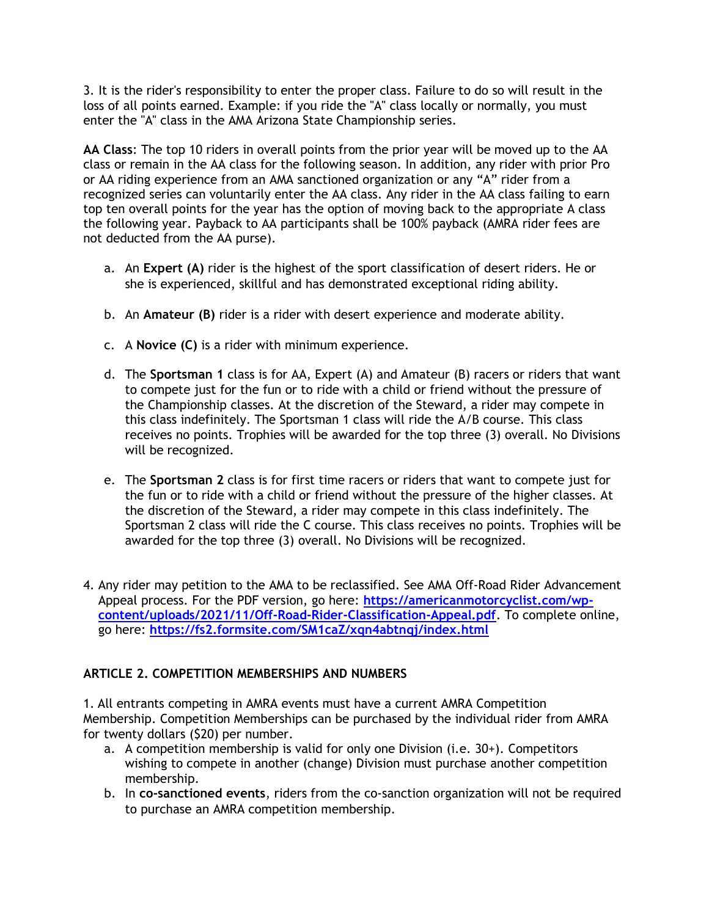3. It is the rider's responsibility to enter the proper class. Failure to do so will result in the loss of all points earned. Example: if you ride the "A" class locally or normally, you must enter the "A" class in the AMA Arizona State Championship series.

AA Class: The top 10 riders in overall points from the prior year will be moved up to the AA class or remain in the AA class for the following season. In addition, any rider with prior Pro or AA riding experience from an AMA sanctioned organization or any "A" rider from a recognized series can voluntarily enter the AA class. Any rider in the AA class failing to earn top ten overall points for the year has the option of moving back to the appropriate A class the following year. Payback to AA participants shall be 100% payback (AMRA rider fees are not deducted from the AA purse).

- a. An Expert (A) rider is the highest of the sport classification of desert riders. He or she is experienced, skillful and has demonstrated exceptional riding ability.
- b. An Amateur (B) rider is a rider with desert experience and moderate ability.
- c. A Novice (C) is a rider with minimum experience.
- d. The Sportsman 1 class is for AA, Expert (A) and Amateur (B) racers or riders that want to compete just for the fun or to ride with a child or friend without the pressure of the Championship classes. At the discretion of the Steward, a rider may compete in this class indefinitely. The Sportsman 1 class will ride the A/B course. This class receives no points. Trophies will be awarded for the top three (3) overall. No Divisions will be recognized.
- e. The Sportsman 2 class is for first time racers or riders that want to compete just for the fun or to ride with a child or friend without the pressure of the higher classes. At the discretion of the Steward, a rider may compete in this class indefinitely. The Sportsman 2 class will ride the C course. This class receives no points. Trophies will be awarded for the top three (3) overall. No Divisions will be recognized.
- 4. Any rider may petition to the AMA to be reclassified. See AMA Off-Road Rider Advancement Appeal process. For the PDF version, go here: https://americanmotorcyclist.com/wpcontent/uploads/2021/11/Off-Road-Rider-Classification-Appeal.pdf. To complete online, go here: https://fs2.formsite.com/SM1caZ/xqn4abtnqj/index.html

# ARTICLE 2. COMPETITION MEMBERSHIPS AND NUMBERS

1. All entrants competing in AMRA events must have a current AMRA Competition Membership. Competition Memberships can be purchased by the individual rider from AMRA for twenty dollars (\$20) per number.

- a. A competition membership is valid for only one Division (i.e. 30+). Competitors wishing to compete in another (change) Division must purchase another competition membership.
- b. In co-sanctioned events, riders from the co-sanction organization will not be required to purchase an AMRA competition membership.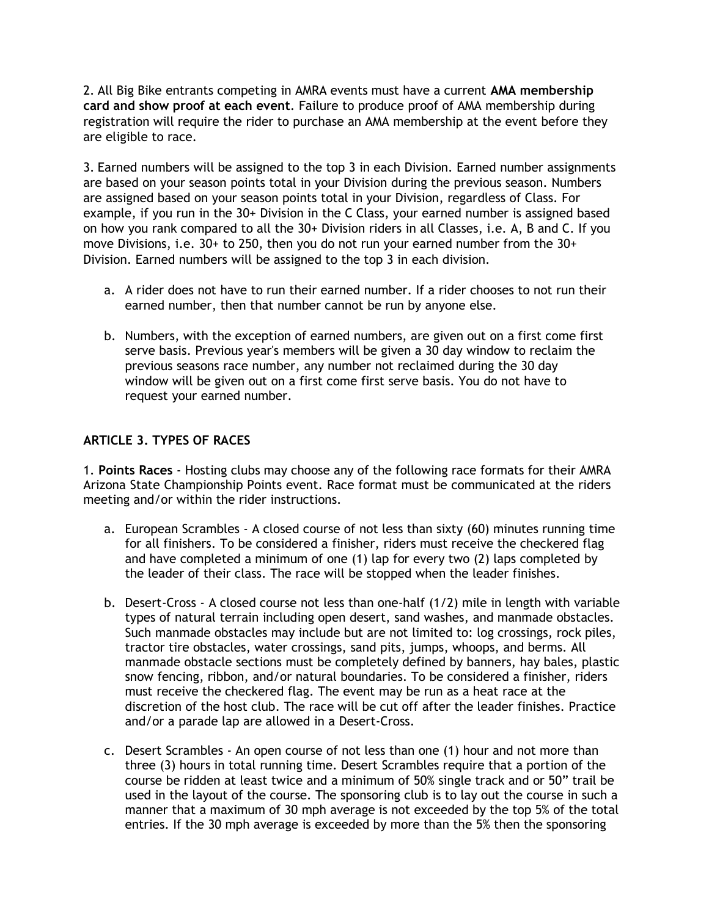2. All Big Bike entrants competing in AMRA events must have a current AMA membership card and show proof at each event. Failure to produce proof of AMA membership during registration will require the rider to purchase an AMA membership at the event before they are eligible to race.

3. Earned numbers will be assigned to the top 3 in each Division. Earned number assignments are based on your season points total in your Division during the previous season. Numbers are assigned based on your season points total in your Division, regardless of Class. For example, if you run in the 30+ Division in the C Class, your earned number is assigned based on how you rank compared to all the 30+ Division riders in all Classes, i.e. A, B and C. If you move Divisions, i.e. 30+ to 250, then you do not run your earned number from the 30+ Division. Earned numbers will be assigned to the top 3 in each division.

- a. A rider does not have to run their earned number. If a rider chooses to not run their earned number, then that number cannot be run by anyone else.
- b. Numbers, with the exception of earned numbers, are given out on a first come first serve basis. Previous year's members will be given a 30 day window to reclaim the previous seasons race number, any number not reclaimed during the 30 day window will be given out on a first come first serve basis. You do not have to request your earned number.

# ARTICLE 3. TYPES OF RACES

1. Points Races - Hosting clubs may choose any of the following race formats for their AMRA Arizona State Championship Points event. Race format must be communicated at the riders meeting and/or within the rider instructions.

- a. European Scrambles A closed course of not less than sixty (60) minutes running time for all finishers. To be considered a finisher, riders must receive the checkered flag and have completed a minimum of one (1) lap for every two (2) laps completed by the leader of their class. The race will be stopped when the leader finishes.
- b. Desert-Cross A closed course not less than one-half (1/2) mile in length with variable types of natural terrain including open desert, sand washes, and manmade obstacles. Such manmade obstacles may include but are not limited to: log crossings, rock piles, tractor tire obstacles, water crossings, sand pits, jumps, whoops, and berms. All manmade obstacle sections must be completely defined by banners, hay bales, plastic snow fencing, ribbon, and/or natural boundaries. To be considered a finisher, riders must receive the checkered flag. The event may be run as a heat race at the discretion of the host club. The race will be cut off after the leader finishes. Practice and/or a parade lap are allowed in a Desert-Cross.
- c. Desert Scrambles An open course of not less than one (1) hour and not more than three (3) hours in total running time. Desert Scrambles require that a portion of the course be ridden at least twice and a minimum of 50% single track and or 50" trail be used in the layout of the course. The sponsoring club is to lay out the course in such a manner that a maximum of 30 mph average is not exceeded by the top 5% of the total entries. If the 30 mph average is exceeded by more than the 5% then the sponsoring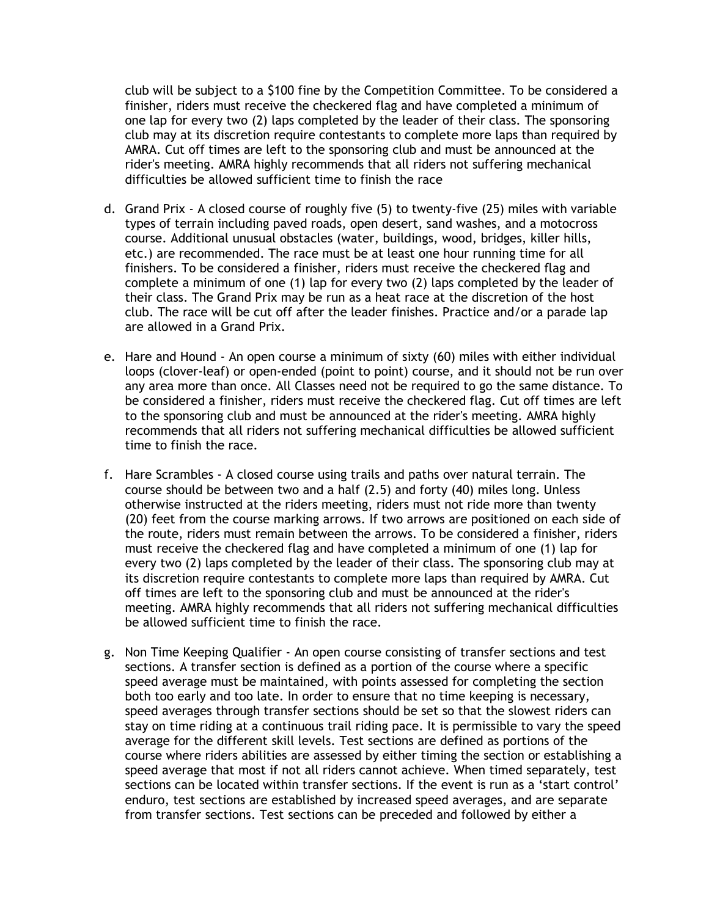club will be subject to a \$100 fine by the Competition Committee. To be considered a finisher, riders must receive the checkered flag and have completed a minimum of one lap for every two (2) laps completed by the leader of their class. The sponsoring club may at its discretion require contestants to complete more laps than required by AMRA. Cut off times are left to the sponsoring club and must be announced at the rider's meeting. AMRA highly recommends that all riders not suffering mechanical difficulties be allowed sufficient time to finish the race

- d. Grand Prix A closed course of roughly five (5) to twenty-five (25) miles with variable types of terrain including paved roads, open desert, sand washes, and a motocross course. Additional unusual obstacles (water, buildings, wood, bridges, killer hills, etc.) are recommended. The race must be at least one hour running time for all finishers. To be considered a finisher, riders must receive the checkered flag and complete a minimum of one (1) lap for every two (2) laps completed by the leader of their class. The Grand Prix may be run as a heat race at the discretion of the host club. The race will be cut off after the leader finishes. Practice and/or a parade lap are allowed in a Grand Prix.
- e. Hare and Hound An open course a minimum of sixty (60) miles with either individual loops (clover-leaf) or open-ended (point to point) course, and it should not be run over any area more than once. All Classes need not be required to go the same distance. To be considered a finisher, riders must receive the checkered flag. Cut off times are left to the sponsoring club and must be announced at the rider's meeting. AMRA highly recommends that all riders not suffering mechanical difficulties be allowed sufficient time to finish the race.
- f. Hare Scrambles A closed course using trails and paths over natural terrain. The course should be between two and a half (2.5) and forty (40) miles long. Unless otherwise instructed at the riders meeting, riders must not ride more than twenty (20) feet from the course marking arrows. If two arrows are positioned on each side of the route, riders must remain between the arrows. To be considered a finisher, riders must receive the checkered flag and have completed a minimum of one (1) lap for every two (2) laps completed by the leader of their class. The sponsoring club may at its discretion require contestants to complete more laps than required by AMRA. Cut off times are left to the sponsoring club and must be announced at the rider's meeting. AMRA highly recommends that all riders not suffering mechanical difficulties be allowed sufficient time to finish the race.
- g. Non Time Keeping Qualifier An open course consisting of transfer sections and test sections. A transfer section is defined as a portion of the course where a specific speed average must be maintained, with points assessed for completing the section both too early and too late. In order to ensure that no time keeping is necessary, speed averages through transfer sections should be set so that the slowest riders can stay on time riding at a continuous trail riding pace. It is permissible to vary the speed average for the different skill levels. Test sections are defined as portions of the course where riders abilities are assessed by either timing the section or establishing a speed average that most if not all riders cannot achieve. When timed separately, test sections can be located within transfer sections. If the event is run as a 'start control' enduro, test sections are established by increased speed averages, and are separate from transfer sections. Test sections can be preceded and followed by either a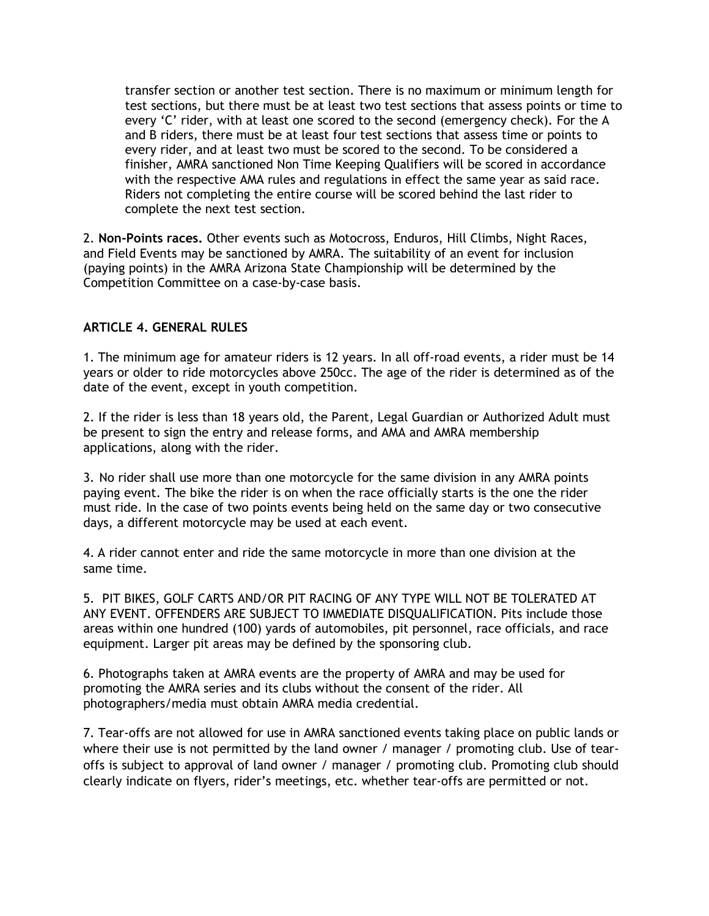transfer section or another test section. There is no maximum or minimum length for test sections, but there must be at least two test sections that assess points or time to every 'C' rider, with at least one scored to the second (emergency check). For the A and B riders, there must be at least four test sections that assess time or points to every rider, and at least two must be scored to the second. To be considered a finisher, AMRA sanctioned Non Time Keeping Qualifiers will be scored in accordance with the respective AMA rules and regulations in effect the same year as said race. Riders not completing the entire course will be scored behind the last rider to complete the next test section.

2. Non-Points races. Other events such as Motocross, Enduros, Hill Climbs, Night Races, and Field Events may be sanctioned by AMRA. The suitability of an event for inclusion (paying points) in the AMRA Arizona State Championship will be determined by the Competition Committee on a case-by-case basis.

### ARTICLE 4. GENERAL RULES

1. The minimum age for amateur riders is 12 years. In all off-road events, a rider must be 14 years or older to ride motorcycles above 250cc. The age of the rider is determined as of the date of the event, except in youth competition.

2. If the rider is less than 18 years old, the Parent, Legal Guardian or Authorized Adult must be present to sign the entry and release forms, and AMA and AMRA membership applications, along with the rider.

3. No rider shall use more than one motorcycle for the same division in any AMRA points paying event. The bike the rider is on when the race officially starts is the one the rider must ride. In the case of two points events being held on the same day or two consecutive days, a different motorcycle may be used at each event.

4. A rider cannot enter and ride the same motorcycle in more than one division at the same time.

5. PIT BIKES, GOLF CARTS AND/OR PIT RACING OF ANY TYPE WILL NOT BE TOLERATED AT ANY EVENT. OFFENDERS ARE SUBJECT TO IMMEDIATE DISQUALIFICATION. Pits include those areas within one hundred (100) yards of automobiles, pit personnel, race officials, and race equipment. Larger pit areas may be defined by the sponsoring club.

6. Photographs taken at AMRA events are the property of AMRA and may be used for promoting the AMRA series and its clubs without the consent of the rider. All photographers/media must obtain AMRA media credential.

7. Tear-offs are not allowed for use in AMRA sanctioned events taking place on public lands or where their use is not permitted by the land owner / manager / promoting club. Use of tearoffs is subject to approval of land owner / manager / promoting club. Promoting club should clearly indicate on flyers, rider's meetings, etc. whether tear-offs are permitted or not.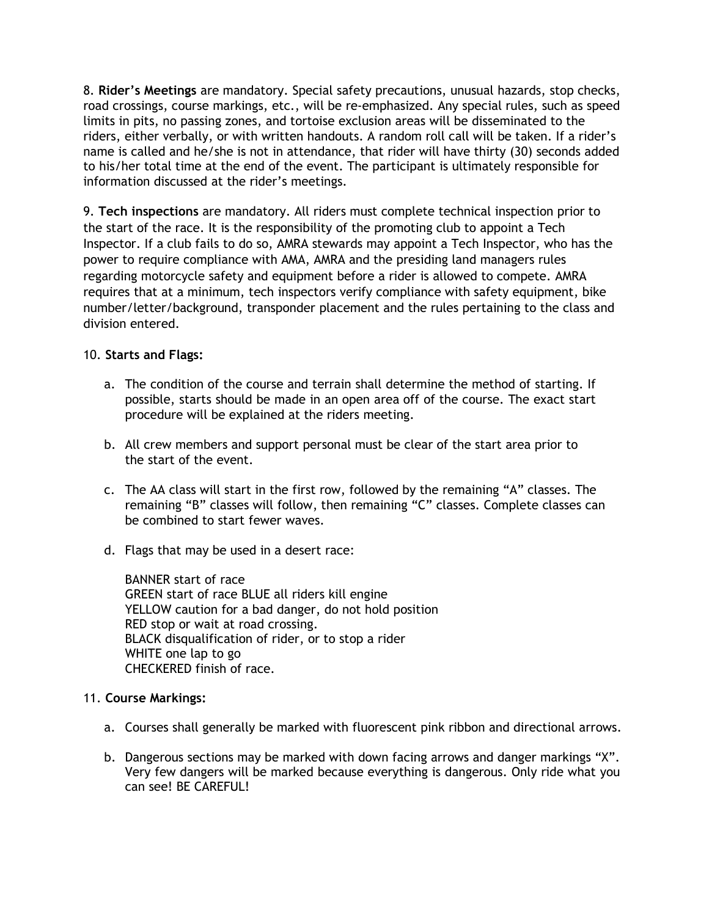8. Rider's Meetings are mandatory. Special safety precautions, unusual hazards, stop checks, road crossings, course markings, etc., will be re-emphasized. Any special rules, such as speed limits in pits, no passing zones, and tortoise exclusion areas will be disseminated to the riders, either verbally, or with written handouts. A random roll call will be taken. If a rider's name is called and he/she is not in attendance, that rider will have thirty (30) seconds added to his/her total time at the end of the event. The participant is ultimately responsible for information discussed at the rider's meetings.

9. Tech inspections are mandatory. All riders must complete technical inspection prior to the start of the race. It is the responsibility of the promoting club to appoint a Tech Inspector. If a club fails to do so, AMRA stewards may appoint a Tech Inspector, who has the power to require compliance with AMA, AMRA and the presiding land managers rules regarding motorcycle safety and equipment before a rider is allowed to compete. AMRA requires that at a minimum, tech inspectors verify compliance with safety equipment, bike number/letter/background, transponder placement and the rules pertaining to the class and division entered.

### 10. Starts and Flags:

- a. The condition of the course and terrain shall determine the method of starting. If possible, starts should be made in an open area off of the course. The exact start procedure will be explained at the riders meeting.
- b. All crew members and support personal must be clear of the start area prior to the start of the event.
- c. The AA class will start in the first row, followed by the remaining "A" classes. The remaining "B" classes will follow, then remaining "C" classes. Complete classes can be combined to start fewer waves.
- d. Flags that may be used in a desert race:

BANNER start of race GREEN start of race BLUE all riders kill engine YELLOW caution for a bad danger, do not hold position RED stop or wait at road crossing. BLACK disqualification of rider, or to stop a rider WHITE one lap to go CHECKERED finish of race.

### 11. Course Markings:

- a. Courses shall generally be marked with fluorescent pink ribbon and directional arrows.
- b. Dangerous sections may be marked with down facing arrows and danger markings "X". Very few dangers will be marked because everything is dangerous. Only ride what you can see! BE CAREFUL!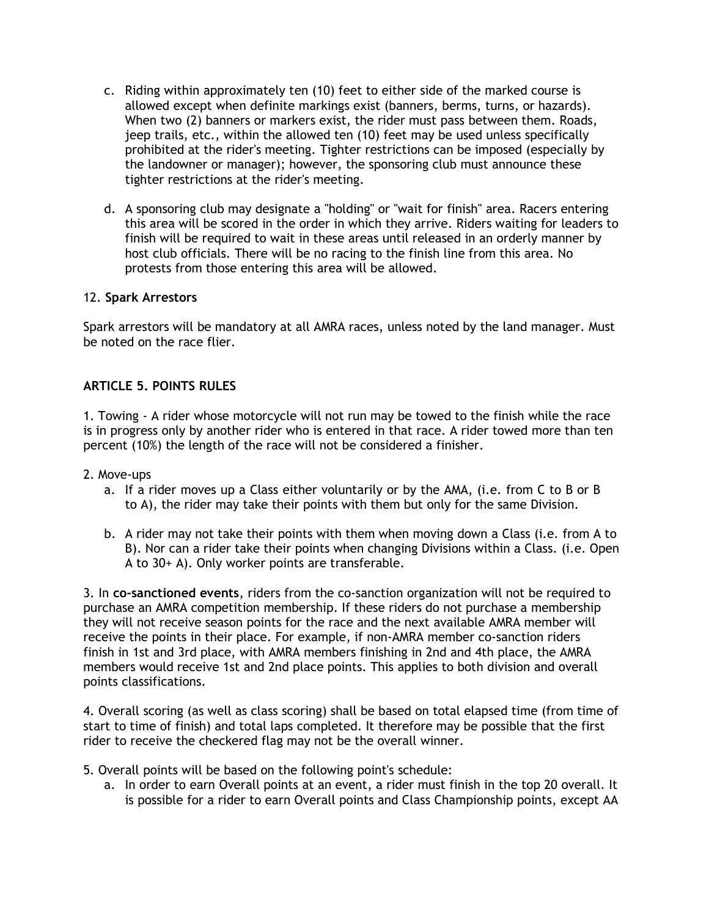- c. Riding within approximately ten (10) feet to either side of the marked course is allowed except when definite markings exist (banners, berms, turns, or hazards). When two (2) banners or markers exist, the rider must pass between them. Roads, jeep trails, etc., within the allowed ten (10) feet may be used unless specifically prohibited at the rider's meeting. Tighter restrictions can be imposed (especially by the landowner or manager); however, the sponsoring club must announce these tighter restrictions at the rider's meeting.
- d. A sponsoring club may designate a "holding" or "wait for finish" area. Racers entering this area will be scored in the order in which they arrive. Riders waiting for leaders to finish will be required to wait in these areas until released in an orderly manner by host club officials. There will be no racing to the finish line from this area. No protests from those entering this area will be allowed.

#### 12. Spark Arrestors

Spark arrestors will be mandatory at all AMRA races, unless noted by the land manager. Must be noted on the race flier.

#### ARTICLE 5. POINTS RULES

1. Towing - A rider whose motorcycle will not run may be towed to the finish while the race is in progress only by another rider who is entered in that race. A rider towed more than ten percent (10%) the length of the race will not be considered a finisher.

- 2. Move-ups
	- a. If a rider moves up a Class either voluntarily or by the AMA, (i.e. from C to B or B to A), the rider may take their points with them but only for the same Division.
	- b. A rider may not take their points with them when moving down a Class (i.e. from A to B). Nor can a rider take their points when changing Divisions within a Class. (i.e. Open A to 30+ A). Only worker points are transferable.

3. In co-sanctioned events, riders from the co-sanction organization will not be required to purchase an AMRA competition membership. If these riders do not purchase a membership they will not receive season points for the race and the next available AMRA member will receive the points in their place. For example, if non-AMRA member co-sanction riders finish in 1st and 3rd place, with AMRA members finishing in 2nd and 4th place, the AMRA members would receive 1st and 2nd place points. This applies to both division and overall points classifications.

4. Overall scoring (as well as class scoring) shall be based on total elapsed time (from time of start to time of finish) and total laps completed. It therefore may be possible that the first rider to receive the checkered flag may not be the overall winner.

- 5. Overall points will be based on the following point's schedule:
	- a. In order to earn Overall points at an event, a rider must finish in the top 20 overall. It is possible for a rider to earn Overall points and Class Championship points, except AA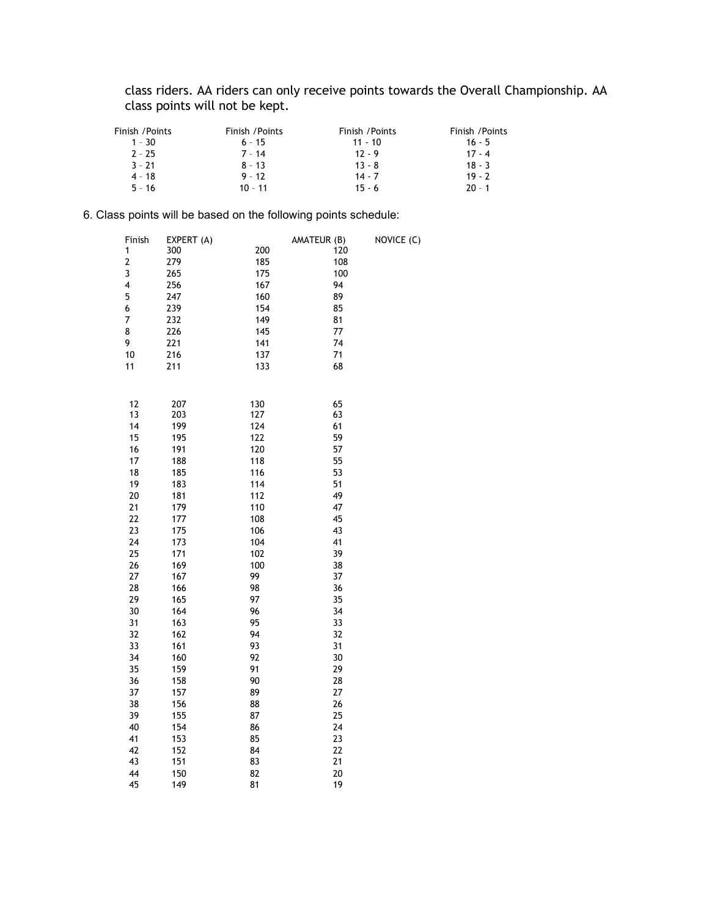class riders. AA riders can only receive points towards the Overall Championship. AA class points will not be kept.

| Finish /Points | Finish / Points | Finish / Points | Finish / Points |
|----------------|-----------------|-----------------|-----------------|
| $1 - 30$       | $6 - 15$        | $11 - 10$       | $16 - 5$        |
| $2 - 25$       | $7 - 14$        | $12 - 9$        | $17 - 4$        |
| $3 - 21$       | $8 - 13$        | $13 - 8$        | $18 - 3$        |
| $4 - 18$       | $9 - 12$        | $14 - 7$        | $19 - 7$        |
| $5 - 16$       | $10 - 11$       | $15 - 6$        | $20 - 1$        |

#### 6. Class points will be based on the following points schedule:

| Finish                  | EXPERT (A) |     | AMATEUR (B) | NOVICE (C) |
|-------------------------|------------|-----|-------------|------------|
| $\mathbf{1}$            | 300        | 200 | 120         |            |
| $\overline{\mathbf{c}}$ | 279        | 185 | 108         |            |
| 3                       | 265        | 175 | 100         |            |
| 4                       | 256        | 167 | 94          |            |
| 5                       | 247        | 160 | 89          |            |
| 6                       | 239        | 154 | 85          |            |
| 7                       | 232        | 149 | 81          |            |
| 8                       | 226        | 145 | 77          |            |
| 9                       | 221        | 141 | 74          |            |
| 10                      | 216        | 137 | 71          |            |
| 11                      | 211        | 133 | 68          |            |
|                         |            |     |             |            |
|                         |            |     |             |            |
| 12                      | 207        | 130 | 65          |            |
| 13                      | 203        | 127 | 63          |            |
| 14                      | 199        | 124 | 61          |            |
| 15                      | 195        | 122 | 59          |            |
| 16                      | 191        | 120 | 57          |            |
| 17                      | 188        | 118 | 55          |            |
| 18                      | 185        | 116 | 53          |            |
| 19                      | 183        | 114 | 51          |            |
| 20                      | 181        | 112 | 49          |            |
| 21                      | 179        | 110 | 47          |            |
| 22                      | 177        | 108 | 45          |            |
| 23                      | 175        | 106 | 43          |            |
| 24                      | 173        | 104 | 41          |            |
| 25                      | 171        | 102 | 39          |            |
| 26                      | 169        | 100 | 38          |            |
| 27                      | 167        | 99  | 37          |            |
| 28                      | 166        | 98  | 36          |            |
| 29                      | 165        | 97  | 35          |            |
| 30                      | 164        | 96  | 34          |            |
| 31                      | 163        | 95  | 33          |            |
| 32                      | 162        | 94  | 32          |            |
| 33                      | 161        | 93  | 31          |            |
| 34                      | 160        | 92  | 30          |            |
| 35                      | 159        | 91  | 29          |            |
| 36                      | 158        | 90  | 28          |            |
| 37                      | 157        | 89  | 27          |            |
| 38                      | 156        | 88  | 26          |            |
| 39                      | 155        | 87  | 25          |            |
| 40                      | 154        | 86  | 24          |            |
| 41                      | 153        | 85  | 23          |            |
| 42                      | 152        | 84  | 22          |            |
| 43                      | 151        | 83  | 21          |            |
| 44                      | 150        | 82  | 20          |            |
| 45                      | 149        | 81  | 19          |            |
|                         |            |     |             |            |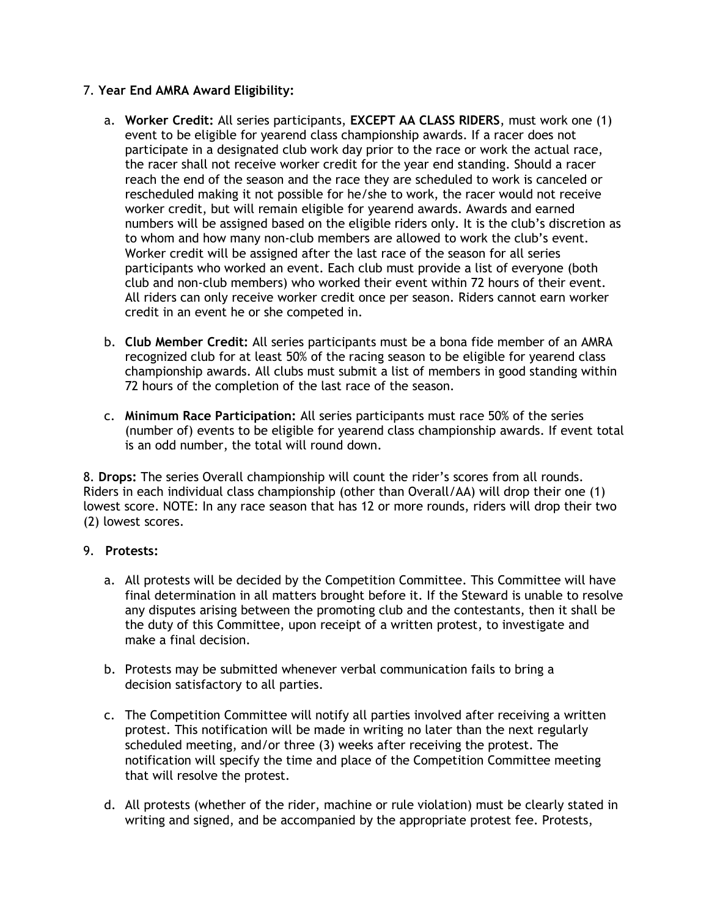# 7. Year End AMRA Award Eligibility:

- a. Worker Credit: All series participants, EXCEPT AA CLASS RIDERS, must work one (1) event to be eligible for yearend class championship awards. If a racer does not participate in a designated club work day prior to the race or work the actual race, the racer shall not receive worker credit for the year end standing. Should a racer reach the end of the season and the race they are scheduled to work is canceled or rescheduled making it not possible for he/she to work, the racer would not receive worker credit, but will remain eligible for yearend awards. Awards and earned numbers will be assigned based on the eligible riders only. It is the club's discretion as to whom and how many non-club members are allowed to work the club's event. Worker credit will be assigned after the last race of the season for all series participants who worked an event. Each club must provide a list of everyone (both club and non-club members) who worked their event within 72 hours of their event. All riders can only receive worker credit once per season. Riders cannot earn worker credit in an event he or she competed in.
- b. Club Member Credit: All series participants must be a bona fide member of an AMRA recognized club for at least 50% of the racing season to be eligible for yearend class championship awards. All clubs must submit a list of members in good standing within 72 hours of the completion of the last race of the season.
- c. Minimum Race Participation: All series participants must race 50% of the series (number of) events to be eligible for yearend class championship awards. If event total is an odd number, the total will round down.

8. Drops: The series Overall championship will count the rider's scores from all rounds. Riders in each individual class championship (other than Overall/AA) will drop their one (1) lowest score. NOTE: In any race season that has 12 or more rounds, riders will drop their two (2) lowest scores.

### 9. Protests:

- a. All protests will be decided by the Competition Committee. This Committee will have final determination in all matters brought before it. If the Steward is unable to resolve any disputes arising between the promoting club and the contestants, then it shall be the duty of this Committee, upon receipt of a written protest, to investigate and make a final decision.
- b. Protests may be submitted whenever verbal communication fails to bring a decision satisfactory to all parties.
- c. The Competition Committee will notify all parties involved after receiving a written protest. This notification will be made in writing no later than the next regularly scheduled meeting, and/or three (3) weeks after receiving the protest. The notification will specify the time and place of the Competition Committee meeting that will resolve the protest.
- d. All protests (whether of the rider, machine or rule violation) must be clearly stated in writing and signed, and be accompanied by the appropriate protest fee. Protests,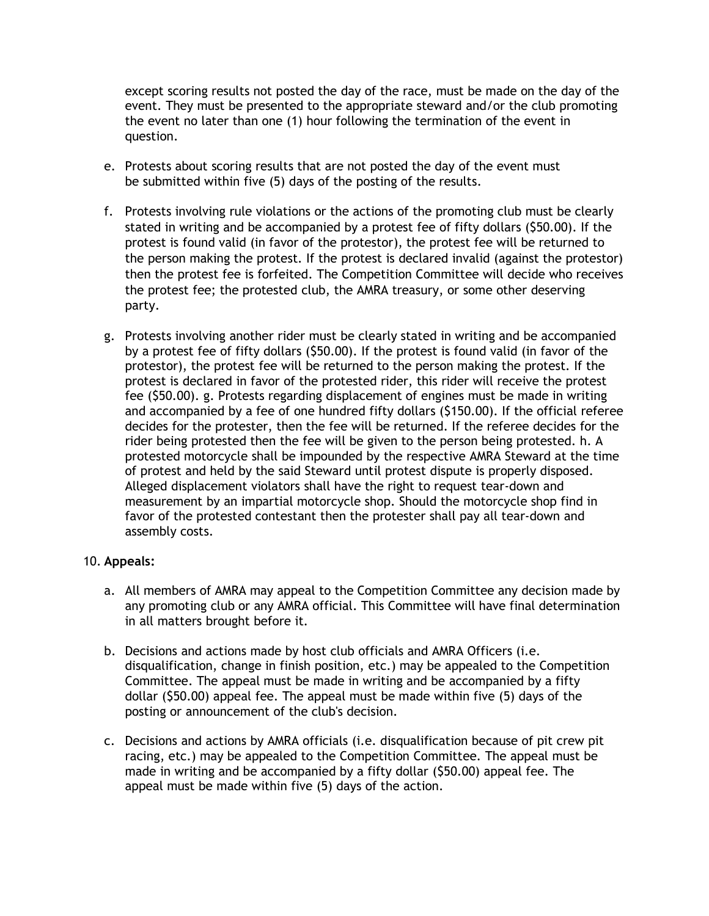except scoring results not posted the day of the race, must be made on the day of the event. They must be presented to the appropriate steward and/or the club promoting the event no later than one (1) hour following the termination of the event in question.

- e. Protests about scoring results that are not posted the day of the event must be submitted within five (5) days of the posting of the results.
- f. Protests involving rule violations or the actions of the promoting club must be clearly stated in writing and be accompanied by a protest fee of fifty dollars (\$50.00). If the protest is found valid (in favor of the protestor), the protest fee will be returned to the person making the protest. If the protest is declared invalid (against the protestor) then the protest fee is forfeited. The Competition Committee will decide who receives the protest fee; the protested club, the AMRA treasury, or some other deserving party.
- g. Protests involving another rider must be clearly stated in writing and be accompanied by a protest fee of fifty dollars (\$50.00). If the protest is found valid (in favor of the protestor), the protest fee will be returned to the person making the protest. If the protest is declared in favor of the protested rider, this rider will receive the protest fee (\$50.00). g. Protests regarding displacement of engines must be made in writing and accompanied by a fee of one hundred fifty dollars (\$150.00). If the official referee decides for the protester, then the fee will be returned. If the referee decides for the rider being protested then the fee will be given to the person being protested. h. A protested motorcycle shall be impounded by the respective AMRA Steward at the time of protest and held by the said Steward until protest dispute is properly disposed. Alleged displacement violators shall have the right to request tear-down and measurement by an impartial motorcycle shop. Should the motorcycle shop find in favor of the protested contestant then the protester shall pay all tear-down and assembly costs.

### 10. Appeals:

- a. All members of AMRA may appeal to the Competition Committee any decision made by any promoting club or any AMRA official. This Committee will have final determination in all matters brought before it.
- b. Decisions and actions made by host club officials and AMRA Officers (i.e. disqualification, change in finish position, etc.) may be appealed to the Competition Committee. The appeal must be made in writing and be accompanied by a fifty dollar (\$50.00) appeal fee. The appeal must be made within five (5) days of the posting or announcement of the club's decision.
- c. Decisions and actions by AMRA officials (i.e. disqualification because of pit crew pit racing, etc.) may be appealed to the Competition Committee. The appeal must be made in writing and be accompanied by a fifty dollar (\$50.00) appeal fee. The appeal must be made within five (5) days of the action.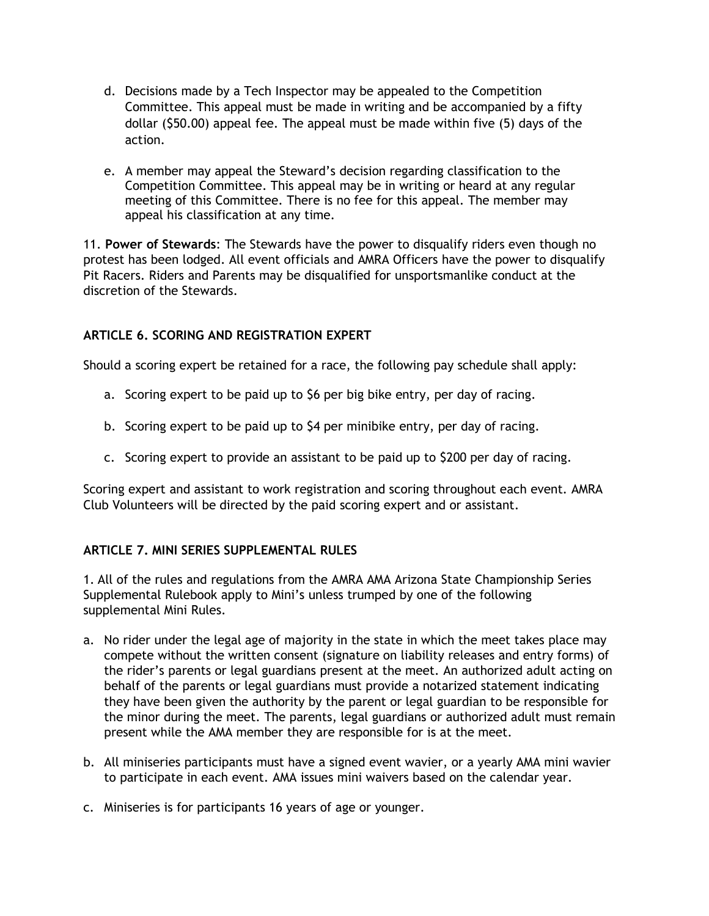- d. Decisions made by a Tech Inspector may be appealed to the Competition Committee. This appeal must be made in writing and be accompanied by a fifty dollar (\$50.00) appeal fee. The appeal must be made within five (5) days of the action.
- e. A member may appeal the Steward's decision regarding classification to the Competition Committee. This appeal may be in writing or heard at any regular meeting of this Committee. There is no fee for this appeal. The member may appeal his classification at any time.

11. Power of Stewards: The Stewards have the power to disqualify riders even though no protest has been lodged. All event officials and AMRA Officers have the power to disqualify Pit Racers. Riders and Parents may be disqualified for unsportsmanlike conduct at the discretion of the Stewards.

# ARTICLE 6. SCORING AND REGISTRATION EXPERT

Should a scoring expert be retained for a race, the following pay schedule shall apply:

- a. Scoring expert to be paid up to \$6 per big bike entry, per day of racing.
- b. Scoring expert to be paid up to \$4 per minibike entry, per day of racing.
- c. Scoring expert to provide an assistant to be paid up to \$200 per day of racing.

Scoring expert and assistant to work registration and scoring throughout each event. AMRA Club Volunteers will be directed by the paid scoring expert and or assistant.

### ARTICLE 7. MINI SERIES SUPPLEMENTAL RULES

1. All of the rules and regulations from the AMRA AMA Arizona State Championship Series Supplemental Rulebook apply to Mini's unless trumped by one of the following supplemental Mini Rules.

- a. No rider under the legal age of majority in the state in which the meet takes place may compete without the written consent (signature on liability releases and entry forms) of the rider's parents or legal guardians present at the meet. An authorized adult acting on behalf of the parents or legal guardians must provide a notarized statement indicating they have been given the authority by the parent or legal guardian to be responsible for the minor during the meet. The parents, legal guardians or authorized adult must remain present while the AMA member they are responsible for is at the meet.
- b. All miniseries participants must have a signed event wavier, or a yearly AMA mini wavier to participate in each event. AMA issues mini waivers based on the calendar year.
- c. Miniseries is for participants 16 years of age or younger.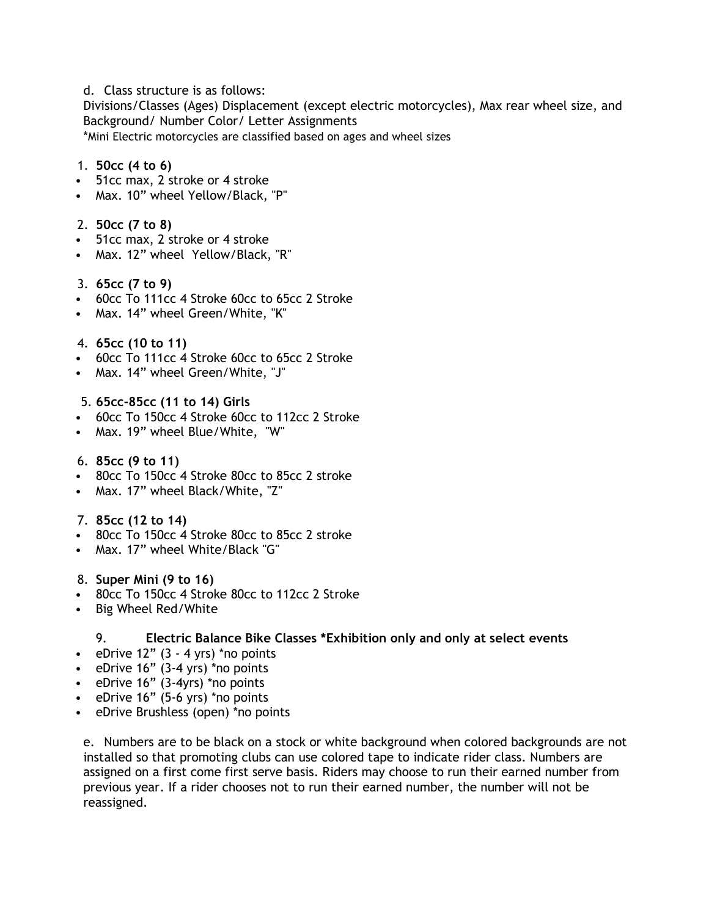d. Class structure is as follows:

Divisions/Classes (Ages) Displacement (except electric motorcycles), Max rear wheel size, and Background/ Number Color/ Letter Assignments

\*Mini Electric motorcycles are classified based on ages and wheel sizes

## 1. 50cc (4 to 6)

- 51cc max, 2 stroke or 4 stroke
- Max. 10" wheel Yellow/Black, "P"

### 2. 50cc (7 to 8)

- 51cc max, 2 stroke or 4 stroke
- Max. 12" wheel Yellow/Black, "R"

### 3. 65cc (7 to 9)

- 60cc To 111cc 4 Stroke 60cc to 65cc 2 Stroke
- Max. 14" wheel Green/White, "K"

#### 4. 65cc (10 to 11)

- 60cc To 111cc 4 Stroke 60cc to 65cc 2 Stroke
- Max. 14" wheel Green/White, "J"

#### 5. 65cc-85cc (11 to 14) Girls

- 60cc To 150cc 4 Stroke 60cc to 112cc 2 Stroke
- Max. 19" wheel Blue/White, "W"

#### 6. 85cc (9 to 11)

- 80cc To 150cc 4 Stroke 80cc to 85cc 2 stroke
- Max. 17" wheel Black/White, "Z"

### 7. 85cc (12 to 14)

- 80cc To 150cc 4 Stroke 80cc to 85cc 2 stroke
- Max. 17" wheel White/Black "G"

### 8. Super Mini (9 to 16)

- 80cc To 150cc 4 Stroke 80cc to 112cc 2 Stroke
- Big Wheel Red/White

### 9. Electric Balance Bike Classes \*Exhibition only and only at select events

- eDrive  $12"$   $(3 4 \text{ yrs})$  \*no points
- eDrive 16" (3-4 yrs) \*no points
- eDrive 16" (3-4yrs) \*no points
- eDrive 16" (5-6 yrs) \*no points
- eDrive Brushless (open) \*no points

e. Numbers are to be black on a stock or white background when colored backgrounds are not installed so that promoting clubs can use colored tape to indicate rider class. Numbers are assigned on a first come first serve basis. Riders may choose to run their earned number from previous year. If a rider chooses not to run their earned number, the number will not be reassigned.